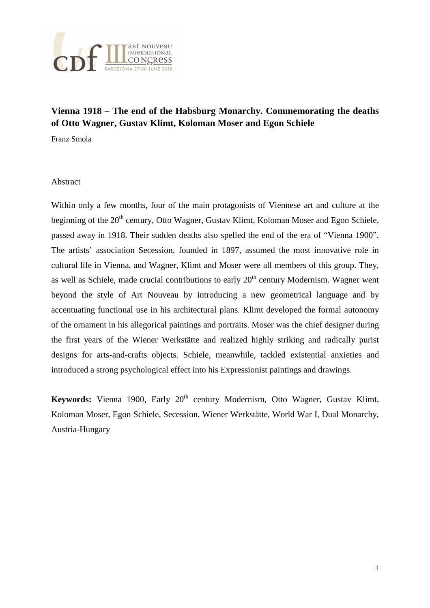

# **Vienna 1918 – The end of the Habsburg Monarchy. Commemorating the deaths of Otto Wagner, Gustav Klimt, Koloman Moser and Egon Schiele**

Franz Smola

#### Abstract

Within only a few months, four of the main protagonists of Viennese art and culture at the beginning of the 20<sup>th</sup> century, Otto Wagner, Gustav Klimt, Koloman Moser and Egon Schiele, passed away in 1918. Their sudden deaths also spelled the end of the era of "Vienna 1900". The artists' association Secession, founded in 1897, assumed the most innovative role in cultural life in Vienna, and Wagner, Klimt and Moser were all members of this group. They, as well as Schiele, made crucial contributions to early  $20<sup>th</sup>$  century Modernism. Wagner went beyond the style of Art Nouveau by introducing a new geometrical language and by accentuating functional use in his architectural plans. Klimt developed the formal autonomy of the ornament in his allegorical paintings and portraits. Moser was the chief designer during the first years of the Wiener Werkstätte and realized highly striking and radically purist designs for arts-and-crafts objects. Schiele, meanwhile, tackled existential anxieties and introduced a strong psychological effect into his Expressionist paintings and drawings.

**Keywords:** Vienna 1900, Early 20<sup>th</sup> century Modernism, Otto Wagner, Gustav Klimt, Koloman Moser, Egon Schiele, Secession, Wiener Werkstätte, World War I, Dual Monarchy, Austria-Hungary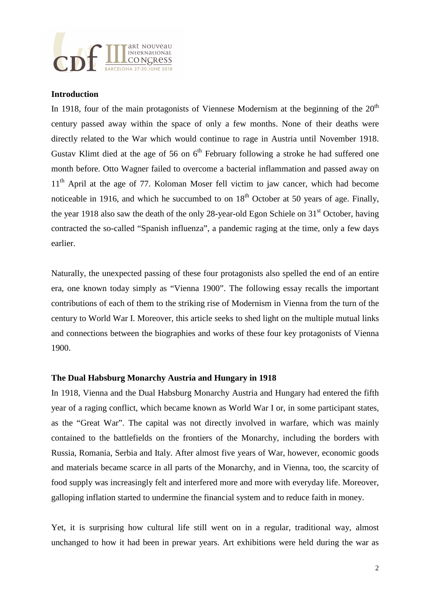

#### **Introduction**

In 1918, four of the main protagonists of Viennese Modernism at the beginning of the  $20<sup>th</sup>$ century passed away within the space of only a few months. None of their deaths were directly related to the War which would continue to rage in Austria until November 1918. Gustav Klimt died at the age of 56 on  $6<sup>th</sup>$  February following a stroke he had suffered one month before. Otto Wagner failed to overcome a bacterial inflammation and passed away on 11<sup>th</sup> April at the age of 77. Koloman Moser fell victim to jaw cancer, which had become noticeable in 1916, and which he succumbed to on  $18<sup>th</sup>$  October at 50 years of age. Finally, the year 1918 also saw the death of the only 28-year-old Egon Schiele on  $31<sup>st</sup>$  October, having contracted the so-called "Spanish influenza", a pandemic raging at the time, only a few days earlier.

Naturally, the unexpected passing of these four protagonists also spelled the end of an entire era, one known today simply as "Vienna 1900". The following essay recalls the important contributions of each of them to the striking rise of Modernism in Vienna from the turn of the century to World War I. Moreover, this article seeks to shed light on the multiple mutual links and connections between the biographies and works of these four key protagonists of Vienna 1900.

## **The Dual Habsburg Monarchy Austria and Hungary in 1918**

In 1918, Vienna and the Dual Habsburg Monarchy Austria and Hungary had entered the fifth year of a raging conflict, which became known as World War I or, in some participant states, as the "Great War". The capital was not directly involved in warfare, which was mainly contained to the battlefields on the frontiers of the Monarchy, including the borders with Russia, Romania, Serbia and Italy. After almost five years of War, however, economic goods and materials became scarce in all parts of the Monarchy, and in Vienna, too, the scarcity of food supply was increasingly felt and interfered more and more with everyday life. Moreover, galloping inflation started to undermine the financial system and to reduce faith in money.

Yet, it is surprising how cultural life still went on in a regular, traditional way, almost unchanged to how it had been in prewar years. Art exhibitions were held during the war as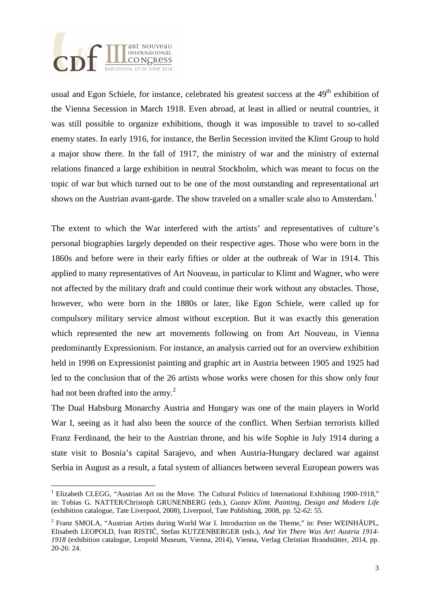

 $\overline{a}$ 

usual and Egon Schiele, for instance, celebrated his greatest success at the 49<sup>th</sup> exhibition of the Vienna Secession in March 1918. Even abroad, at least in allied or neutral countries, it was still possible to organize exhibitions, though it was impossible to travel to so-called enemy states. In early 1916, for instance, the Berlin Secession invited the Klimt Group to hold a major show there. In the fall of 1917, the ministry of war and the ministry of external relations financed a large exhibition in neutral Stockholm, which was meant to focus on the topic of war but which turned out to be one of the most outstanding and representational art shows on the Austrian avant-garde. The show traveled on a smaller scale also to Amsterdam.<sup>1</sup>

The extent to which the War interfered with the artists' and representatives of culture's personal biographies largely depended on their respective ages. Those who were born in the 1860s and before were in their early fifties or older at the outbreak of War in 1914. This applied to many representatives of Art Nouveau, in particular to Klimt and Wagner, who were not affected by the military draft and could continue their work without any obstacles. Those, however, who were born in the 1880s or later, like Egon Schiele, were called up for compulsory military service almost without exception. But it was exactly this generation which represented the new art movements following on from Art Nouveau, in Vienna predominantly Expressionism. For instance, an analysis carried out for an overview exhibition held in 1998 on Expressionist painting and graphic art in Austria between 1905 and 1925 had led to the conclusion that of the 26 artists whose works were chosen for this show only four had not been drafted into the army. $^{2}$ 

The Dual Habsburg Monarchy Austria and Hungary was one of the main players in World War I, seeing as it had also been the source of the conflict. When Serbian terrorists killed Franz Ferdinand, the heir to the Austrian throne, and his wife Sophie in July 1914 during a state visit to Bosnia's capital Sarajevo, and when Austria-Hungary declared war against Serbia in August as a result, a fatal system of alliances between several European powers was

<sup>&</sup>lt;sup>1</sup> Elizabeth CLEGG, "Austrian Art on the Move. The Cultural Politics of International Exhibiting 1900-1918," in: Tobias G. NATTER/Christoph GRUNENBERG (eds.), *Gustav Klimt. Painting, Design and Modern Life* (exhibition catalogue, Tate Liverpool, 2008), Liverpool, Tate Publishing, 2008, pp. 52-62: 55.

<sup>&</sup>lt;sup>2</sup> Franz SMOLA, "Austrian Artists during World War I. Introduction on the Theme," in: Peter WEINHÄUPL, Elisabeth LEOPOLD, Ivan RISTIČ, Stefan KUTZENBERGER (eds.), *And Yet There Was Art! Austria 1914- 1918* (exhibition catalogue, Leopold Museum, Vienna, 2014), Vienna, Verlag Christian Brandstätter, 2014, pp. 20-26: 24.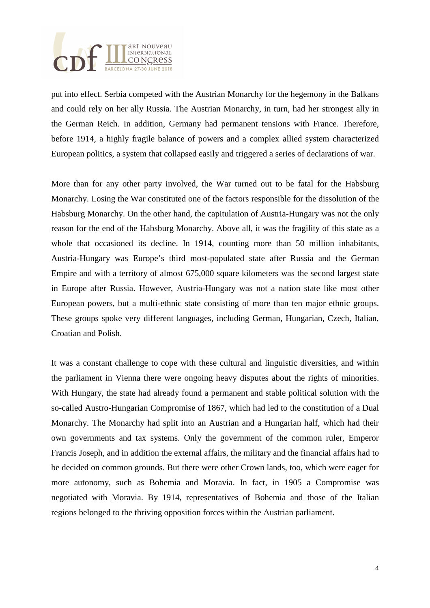

put into effect. Serbia competed with the Austrian Monarchy for the hegemony in the Balkans and could rely on her ally Russia. The Austrian Monarchy, in turn, had her strongest ally in the German Reich. In addition, Germany had permanent tensions with France. Therefore, before 1914, a highly fragile balance of powers and a complex allied system characterized European politics, a system that collapsed easily and triggered a series of declarations of war.

More than for any other party involved, the War turned out to be fatal for the Habsburg Monarchy. Losing the War constituted one of the factors responsible for the dissolution of the Habsburg Monarchy. On the other hand, the capitulation of Austria-Hungary was not the only reason for the end of the Habsburg Monarchy. Above all, it was the fragility of this state as a whole that occasioned its decline. In 1914, counting more than 50 million inhabitants, Austria-Hungary was Europe's third most-populated state after Russia and the German Empire and with a territory of almost 675,000 square kilometers was the second largest state in Europe after Russia. However, Austria-Hungary was not a nation state like most other European powers, but a multi-ethnic state consisting of more than ten major ethnic groups. These groups spoke very different languages, including German, Hungarian, Czech, Italian, Croatian and Polish.

It was a constant challenge to cope with these cultural and linguistic diversities, and within the parliament in Vienna there were ongoing heavy disputes about the rights of minorities. With Hungary, the state had already found a permanent and stable political solution with the so-called Austro-Hungarian Compromise of 1867, which had led to the constitution of a Dual Monarchy. The Monarchy had split into an Austrian and a Hungarian half, which had their own governments and tax systems. Only the government of the common ruler, Emperor Francis Joseph, and in addition the external affairs, the military and the financial affairs had to be decided on common grounds. But there were other Crown lands, too, which were eager for more autonomy, such as Bohemia and Moravia. In fact, in 1905 a Compromise was negotiated with Moravia. By 1914, representatives of Bohemia and those of the Italian regions belonged to the thriving opposition forces within the Austrian parliament.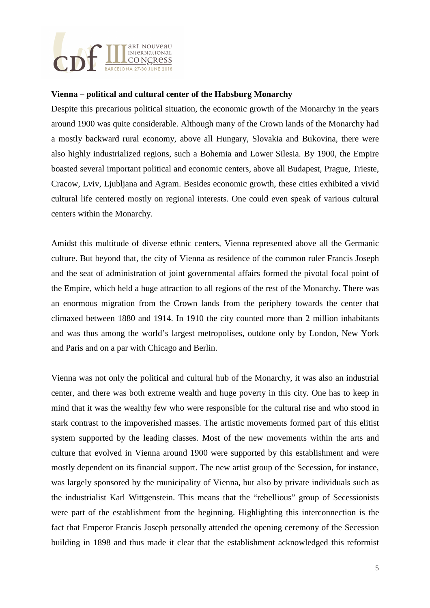

## **Vienna – political and cultural center of the Habsburg Monarchy**

Despite this precarious political situation, the economic growth of the Monarchy in the years around 1900 was quite considerable. Although many of the Crown lands of the Monarchy had a mostly backward rural economy, above all Hungary, Slovakia and Bukovina, there were also highly industrialized regions, such a Bohemia and Lower Silesia. By 1900, the Empire boasted several important political and economic centers, above all Budapest, Prague, Trieste, Cracow, Lviv, Ljubljana and Agram. Besides economic growth, these cities exhibited a vivid cultural life centered mostly on regional interests. One could even speak of various cultural centers within the Monarchy.

Amidst this multitude of diverse ethnic centers, Vienna represented above all the Germanic culture. But beyond that, the city of Vienna as residence of the common ruler Francis Joseph and the seat of administration of joint governmental affairs formed the pivotal focal point of the Empire, which held a huge attraction to all regions of the rest of the Monarchy. There was an enormous migration from the Crown lands from the periphery towards the center that climaxed between 1880 and 1914. In 1910 the city counted more than 2 million inhabitants and was thus among the world's largest metropolises, outdone only by London, New York and Paris and on a par with Chicago and Berlin.

Vienna was not only the political and cultural hub of the Monarchy, it was also an industrial center, and there was both extreme wealth and huge poverty in this city. One has to keep in mind that it was the wealthy few who were responsible for the cultural rise and who stood in stark contrast to the impoverished masses. The artistic movements formed part of this elitist system supported by the leading classes. Most of the new movements within the arts and culture that evolved in Vienna around 1900 were supported by this establishment and were mostly dependent on its financial support. The new artist group of the Secession, for instance, was largely sponsored by the municipality of Vienna, but also by private individuals such as the industrialist Karl Wittgenstein. This means that the "rebellious" group of Secessionists were part of the establishment from the beginning. Highlighting this interconnection is the fact that Emperor Francis Joseph personally attended the opening ceremony of the Secession building in 1898 and thus made it clear that the establishment acknowledged this reformist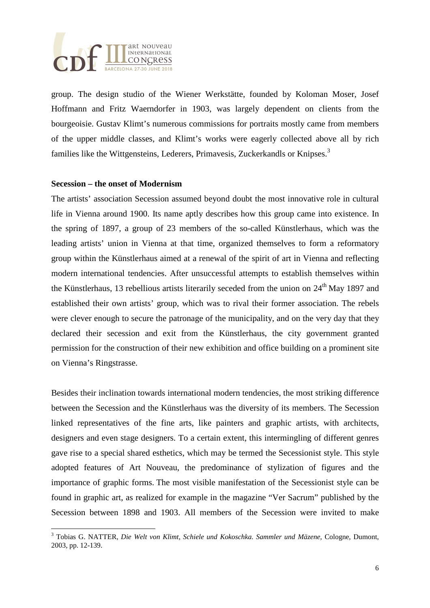

group. The design studio of the Wiener Werkstätte, founded by Koloman Moser, Josef Hoffmann and Fritz Waerndorfer in 1903, was largely dependent on clients from the bourgeoisie. Gustav Klimt's numerous commissions for portraits mostly came from members of the upper middle classes, and Klimt's works were eagerly collected above all by rich families like the Wittgensteins, Lederers, Primavesis, Zuckerkandls or Knipses.<sup>3</sup>

#### **Secession – the onset of Modernism**

The artists' association Secession assumed beyond doubt the most innovative role in cultural life in Vienna around 1900. Its name aptly describes how this group came into existence. In the spring of 1897, a group of 23 members of the so-called Künstlerhaus, which was the leading artists' union in Vienna at that time, organized themselves to form a reformatory group within the Künstlerhaus aimed at a renewal of the spirit of art in Vienna and reflecting modern international tendencies. After unsuccessful attempts to establish themselves within the Künstlerhaus, 13 rebellious artists literarily seceded from the union on  $24<sup>th</sup>$  May 1897 and established their own artists' group, which was to rival their former association. The rebels were clever enough to secure the patronage of the municipality, and on the very day that they declared their secession and exit from the Künstlerhaus, the city government granted permission for the construction of their new exhibition and office building on a prominent site on Vienna's Ringstrasse.

Besides their inclination towards international modern tendencies, the most striking difference between the Secession and the Künstlerhaus was the diversity of its members. The Secession linked representatives of the fine arts, like painters and graphic artists, with architects, designers and even stage designers. To a certain extent, this intermingling of different genres gave rise to a special shared esthetics, which may be termed the Secessionist style. This style adopted features of Art Nouveau, the predominance of stylization of figures and the importance of graphic forms. The most visible manifestation of the Secessionist style can be found in graphic art, as realized for example in the magazine "Ver Sacrum" published by the Secession between 1898 and 1903. All members of the Secession were invited to make

 3 Tobias G. NATTER, *Die Welt von Klimt, Schiele und Kokoschka. Sammler und Mäzene,* Cologne, Dumont, 2003, pp. 12-139.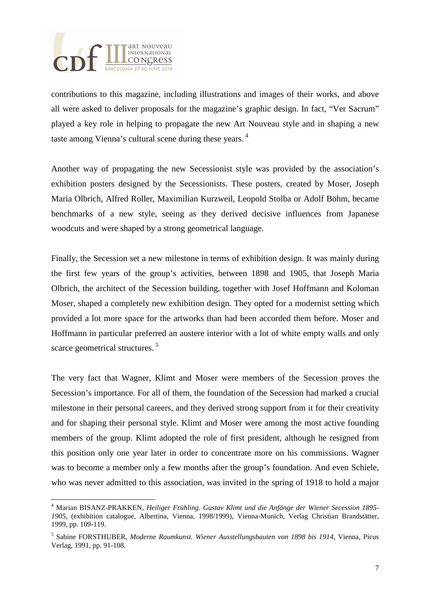

contributions to this magazine, including illustrations and images of their works, and above all were asked to deliver proposals for the magazine's graphic design. In fact, "Ver Sacrum" played a key role in helping to propagate the new Art Nouveau style and in shaping a new taste among Vienna's cultural scene during these years.<sup>4</sup>

Another way of propagating the new Secessionist style was provided by the association's exhibition posters designed by the Secessionists. These posters, created by Moser, Joseph Maria Olbrich, Alfred Roller, Maximilian Kurzweil, Leopold Stolba or Adolf Böhm, became benchmarks of a new style, seeing as they derived decisive influences from Japanese woodcuts and were shaped by a strong geometrical language.

Finally, the Secession set a new milestone in terms of exhibition design. It was mainly during the first few years of the group's activities, between 1898 and 1905, that Joseph Maria Olbrich, the architect of the Secession building, together with Josef Hoffmann and Koloman Moser, shaped a completely new exhibition design. They opted for a modernist setting which provided a lot more space for the artworks than had been accorded them before. Moser and Hoffmann in particular preferred an austere interior with a lot of white empty walls and only scarce geometrical structures.<sup>5</sup>

The very fact that Wagner, Klimt and Moser were members of the Secession proves the Secession's importance. For all of them, the foundation of the Secession had marked a crucial milestone in their personal careers, and they derived strong support from it for their creativity and for shaping their personal style. Klimt and Moser were among the most active founding members of the group. Klimt adopted the role of first president, although he resigned from this position only one year later in order to concentrate more on his commissions. Wagner was to become a member only a few months after the group's foundation. And even Schiele, who was never admitted to this association, was invited in the spring of 1918 to hold a major

 4 Marian BISANZ-PRAKKEN, *Heiliger Frühling. Gustav Klimt und die Anfänge der Wiener Secession 1895- 1905,* (exhibition catalogue, Albertina, Vienna, 1998/1999), Vienna-Munich, Verlag Christian Brandstätter, 1999, pp. 109-119.

<sup>5</sup> Sabine FORSTHUBER, *Moderne Raumkunst. Wiener Ausstellungsbauten von 1898 bis 1914,* Vienna, Picus Verlag, 1991, pp. 91-108.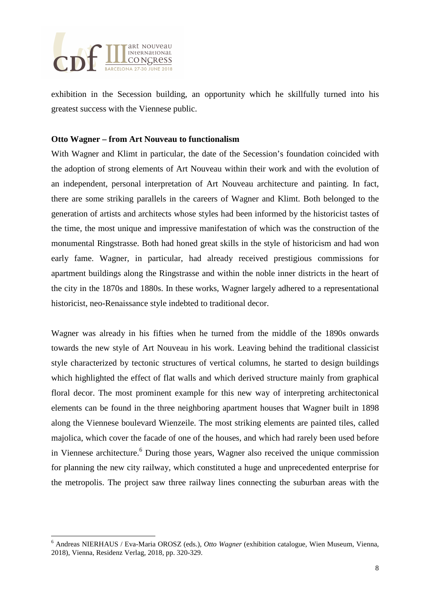

exhibition in the Secession building, an opportunity which he skillfully turned into his greatest success with the Viennese public.

## **Otto Wagner – from Art Nouveau to functionalism**

With Wagner and Klimt in particular, the date of the Secession's foundation coincided with the adoption of strong elements of Art Nouveau within their work and with the evolution of an independent, personal interpretation of Art Nouveau architecture and painting. In fact, there are some striking parallels in the careers of Wagner and Klimt. Both belonged to the generation of artists and architects whose styles had been informed by the historicist tastes of the time, the most unique and impressive manifestation of which was the construction of the monumental Ringstrasse. Both had honed great skills in the style of historicism and had won early fame. Wagner, in particular, had already received prestigious commissions for apartment buildings along the Ringstrasse and within the noble inner districts in the heart of the city in the 1870s and 1880s. In these works, Wagner largely adhered to a representational historicist, neo-Renaissance style indebted to traditional decor.

Wagner was already in his fifties when he turned from the middle of the 1890s onwards towards the new style of Art Nouveau in his work. Leaving behind the traditional classicist style characterized by tectonic structures of vertical columns, he started to design buildings which highlighted the effect of flat walls and which derived structure mainly from graphical floral decor. The most prominent example for this new way of interpreting architectonical elements can be found in the three neighboring apartment houses that Wagner built in 1898 along the Viennese boulevard Wienzeile. The most striking elements are painted tiles, called majolica, which cover the facade of one of the houses, and which had rarely been used before in Viennese architecture.<sup>6</sup> During those years, Wagner also received the unique commission for planning the new city railway, which constituted a huge and unprecedented enterprise for the metropolis. The project saw three railway lines connecting the suburban areas with the

 6 Andreas NIERHAUS / Eva-Maria OROSZ (eds.), *Otto Wagner* (exhibition catalogue, Wien Museum, Vienna, 2018), Vienna, Residenz Verlag, 2018, pp. 320-329.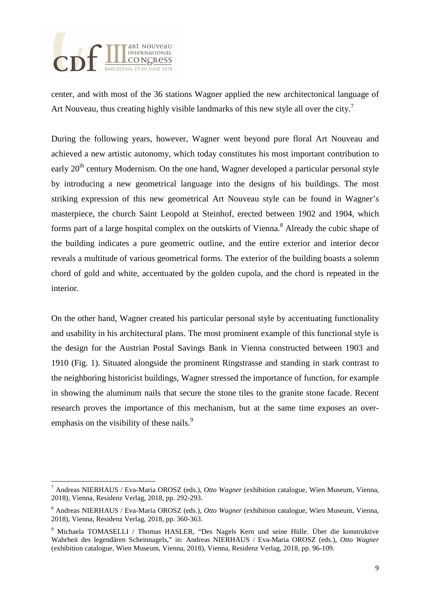

center, and with most of the 36 stations Wagner applied the new architectonical language of Art Nouveau, thus creating highly visible landmarks of this new style all over the city.<sup>7</sup>

During the following years, however, Wagner went beyond pure floral Art Nouveau and achieved a new artistic autonomy, which today constitutes his most important contribution to early  $20<sup>th</sup>$  century Modernism. On the one hand, Wagner developed a particular personal style by introducing a new geometrical language into the designs of his buildings. The most striking expression of this new geometrical Art Nouveau style can be found in Wagner's masterpiece, the church Saint Leopold at Steinhof, erected between 1902 and 1904, which forms part of a large hospital complex on the outskirts of Vienna.<sup>8</sup> Already the cubic shape of the building indicates a pure geometric outline, and the entire exterior and interior decor reveals a multitude of various geometrical forms. The exterior of the building boasts a solemn chord of gold and white, accentuated by the golden cupola, and the chord is repeated in the interior.

On the other hand, Wagner created his particular personal style by accentuating functionality and usability in his architectural plans. The most prominent example of this functional style is the design for the Austrian Postal Savings Bank in Vienna constructed between 1903 and 1910 (Fig. 1). Situated alongside the prominent Ringstrasse and standing in stark contrast to the neighboring historicist buildings, Wagner stressed the importance of function, for example in showing the aluminum nails that secure the stone tiles to the granite stone facade. Recent research proves the importance of this mechanism, but at the same time exposes an overemphasis on the visibility of these nails. $\frac{9}{2}$ 

 $\overline{a}$ 7 Andreas NIERHAUS / Eva-Maria OROSZ (eds.), *Otto Wagner* (exhibition catalogue, Wien Museum, Vienna, 2018), Vienna, Residenz Verlag, 2018, pp. 292-293.

<sup>8</sup> Andreas NIERHAUS / Eva-Maria OROSZ (eds.), *Otto Wagner* (exhibition catalogue, Wien Museum, Vienna, 2018), Vienna, Residenz Verlag, 2018, pp. 360-363.

<sup>9</sup> Michaela TOMASELLI / Thomas HASLER, "Des Nagels Kern und seine Hülle. Über die konstruktive Wahrheit des legendären Scheinnagels," in: Andreas NIERHAUS / Eva-Maria OROSZ (eds.), *Otto Wagner* (exhibition catalogue, Wien Museum, Vienna, 2018), Vienna, Residenz Verlag, 2018, pp. 96-109.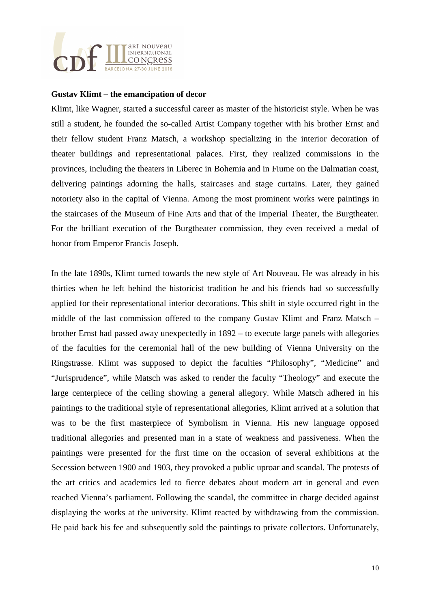

#### **Gustav Klimt – the emancipation of decor**

Klimt, like Wagner, started a successful career as master of the historicist style. When he was still a student, he founded the so-called Artist Company together with his brother Ernst and their fellow student Franz Matsch, a workshop specializing in the interior decoration of theater buildings and representational palaces. First, they realized commissions in the provinces, including the theaters in Liberec in Bohemia and in Fiume on the Dalmatian coast, delivering paintings adorning the halls, staircases and stage curtains. Later, they gained notoriety also in the capital of Vienna. Among the most prominent works were paintings in the staircases of the Museum of Fine Arts and that of the Imperial Theater, the Burgtheater. For the brilliant execution of the Burgtheater commission, they even received a medal of honor from Emperor Francis Joseph.

In the late 1890s, Klimt turned towards the new style of Art Nouveau. He was already in his thirties when he left behind the historicist tradition he and his friends had so successfully applied for their representational interior decorations. This shift in style occurred right in the middle of the last commission offered to the company Gustav Klimt and Franz Matsch – brother Ernst had passed away unexpectedly in 1892 – to execute large panels with allegories of the faculties for the ceremonial hall of the new building of Vienna University on the Ringstrasse. Klimt was supposed to depict the faculties "Philosophy", "Medicine" and "Jurisprudence", while Matsch was asked to render the faculty "Theology" and execute the large centerpiece of the ceiling showing a general allegory. While Matsch adhered in his paintings to the traditional style of representational allegories, Klimt arrived at a solution that was to be the first masterpiece of Symbolism in Vienna. His new language opposed traditional allegories and presented man in a state of weakness and passiveness. When the paintings were presented for the first time on the occasion of several exhibitions at the Secession between 1900 and 1903, they provoked a public uproar and scandal. The protests of the art critics and academics led to fierce debates about modern art in general and even reached Vienna's parliament. Following the scandal, the committee in charge decided against displaying the works at the university. Klimt reacted by withdrawing from the commission. He paid back his fee and subsequently sold the paintings to private collectors. Unfortunately,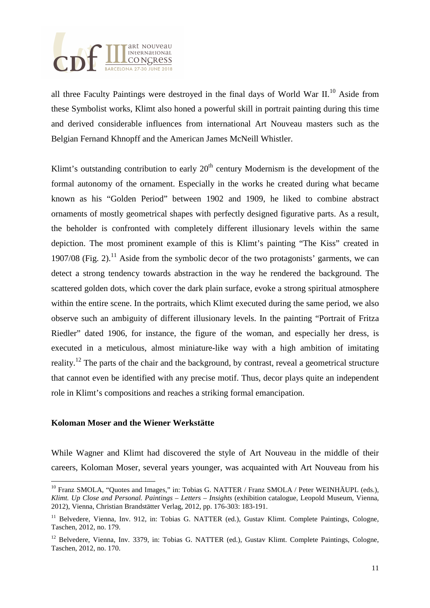

all three Faculty Paintings were destroyed in the final days of World War II.<sup>10</sup> Aside from these Symbolist works, Klimt also honed a powerful skill in portrait painting during this time and derived considerable influences from international Art Nouveau masters such as the Belgian Fernand Khnopff and the American James McNeill Whistler.

Klimt's outstanding contribution to early  $20<sup>th</sup>$  century Modernism is the development of the formal autonomy of the ornament. Especially in the works he created during what became known as his "Golden Period" between 1902 and 1909, he liked to combine abstract ornaments of mostly geometrical shapes with perfectly designed figurative parts. As a result, the beholder is confronted with completely different illusionary levels within the same depiction. The most prominent example of this is Klimt's painting "The Kiss" created in 1907/08 (Fig. 2).<sup>11</sup> Aside from the symbolic decor of the two protagonists' garments, we can detect a strong tendency towards abstraction in the way he rendered the background. The scattered golden dots, which cover the dark plain surface, evoke a strong spiritual atmosphere within the entire scene. In the portraits, which Klimt executed during the same period, we also observe such an ambiguity of different illusionary levels. In the painting "Portrait of Fritza Riedler" dated 1906, for instance, the figure of the woman, and especially her dress, is executed in a meticulous, almost miniature-like way with a high ambition of imitating reality.<sup>12</sup> The parts of the chair and the background, by contrast, reveal a geometrical structure that cannot even be identified with any precise motif. Thus, decor plays quite an independent role in Klimt's compositions and reaches a striking formal emancipation.

## **Koloman Moser and the Wiener Werkstätte**

 $\overline{a}$ 

While Wagner and Klimt had discovered the style of Art Nouveau in the middle of their careers, Koloman Moser, several years younger, was acquainted with Art Nouveau from his

<sup>&</sup>lt;sup>10</sup> Franz SMOLA, "Quotes and Images," in: Tobias G. NATTER / Franz SMOLA / Peter WEINHÄUPL (eds.), *Klimt. Up Close and Personal. Paintings – Letters – Insights* (exhibition catalogue, Leopold Museum, Vienna, 2012), Vienna, Christian Brandstätter Verlag, 2012, pp. 176-303: 183-191.

<sup>&</sup>lt;sup>11</sup> Belvedere, Vienna, Inv. 912, in: Tobias G. NATTER (ed.), Gustav Klimt. Complete Paintings, Cologne, Taschen, 2012, no. 179.

<sup>&</sup>lt;sup>12</sup> Belvedere, Vienna, Inv. 3379, in: Tobias G. NATTER (ed.), Gustav Klimt. Complete Paintings, Cologne, Taschen, 2012, no. 170.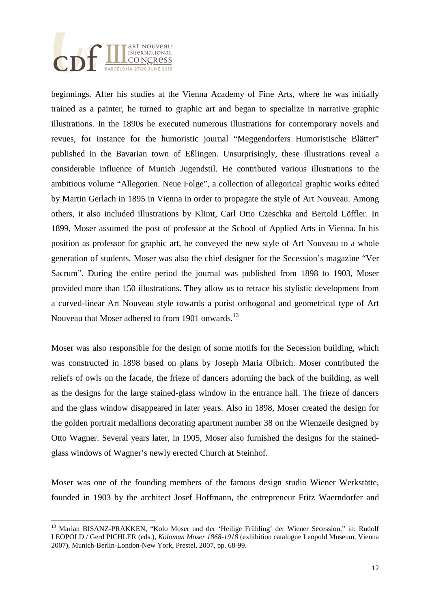

 $\overline{a}$ 

beginnings. After his studies at the Vienna Academy of Fine Arts, where he was initially trained as a painter, he turned to graphic art and began to specialize in narrative graphic illustrations. In the 1890s he executed numerous illustrations for contemporary novels and revues, for instance for the humoristic journal "Meggendorfers Humoristische Blätter" published in the Bavarian town of Eßlingen. Unsurprisingly, these illustrations reveal a considerable influence of Munich Jugendstil. He contributed various illustrations to the ambitious volume "Allegorien. Neue Folge", a collection of allegorical graphic works edited by Martin Gerlach in 1895 in Vienna in order to propagate the style of Art Nouveau. Among others, it also included illustrations by Klimt, Carl Otto Czeschka and Bertold Löffler. In 1899, Moser assumed the post of professor at the School of Applied Arts in Vienna. In his position as professor for graphic art, he conveyed the new style of Art Nouveau to a whole generation of students. Moser was also the chief designer for the Secession's magazine "Ver Sacrum". During the entire period the journal was published from 1898 to 1903, Moser provided more than 150 illustrations. They allow us to retrace his stylistic development from a curved-linear Art Nouveau style towards a purist orthogonal and geometrical type of Art Nouveau that Moser adhered to from 1901 onwards.<sup>13</sup>

Moser was also responsible for the design of some motifs for the Secession building, which was constructed in 1898 based on plans by Joseph Maria Olbrich. Moser contributed the reliefs of owls on the facade, the frieze of dancers adorning the back of the building, as well as the designs for the large stained-glass window in the entrance hall. The frieze of dancers and the glass window disappeared in later years. Also in 1898, Moser created the design for the golden portrait medallions decorating apartment number 38 on the Wienzeile designed by Otto Wagner. Several years later, in 1905, Moser also furnished the designs for the stainedglass windows of Wagner's newly erected Church at Steinhof.

Moser was one of the founding members of the famous design studio Wiener Werkstätte, founded in 1903 by the architect Josef Hoffmann, the entrepreneur Fritz Waerndorfer and

<sup>&</sup>lt;sup>13</sup> Marian BISANZ-PRAKKEN, "Kolo Moser und der 'Heilige Frühling' der Wiener Secession," in: Rudolf LEOPOLD / Gerd PICHLER (eds.), *Koloman Moser 1868-1918* (exhibition catalogue Leopold Museum, Vienna 2007), Munich-Berlin-London-New York, Prestel, 2007, pp. 68-99.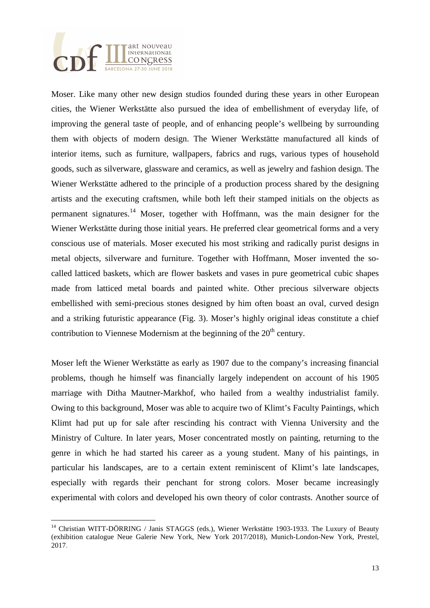

Moser. Like many other new design studios founded during these years in other European cities, the Wiener Werkstätte also pursued the idea of embellishment of everyday life, of improving the general taste of people, and of enhancing people's wellbeing by surrounding them with objects of modern design. The Wiener Werkstätte manufactured all kinds of interior items, such as furniture, wallpapers, fabrics and rugs, various types of household goods, such as silverware, glassware and ceramics, as well as jewelry and fashion design. The Wiener Werkstätte adhered to the principle of a production process shared by the designing artists and the executing craftsmen, while both left their stamped initials on the objects as permanent signatures.<sup>14</sup> Moser, together with Hoffmann, was the main designer for the Wiener Werkstätte during those initial years. He preferred clear geometrical forms and a very conscious use of materials. Moser executed his most striking and radically purist designs in metal objects, silverware and furniture. Together with Hoffmann, Moser invented the socalled latticed baskets, which are flower baskets and vases in pure geometrical cubic shapes made from latticed metal boards and painted white. Other precious silverware objects embellished with semi-precious stones designed by him often boast an oval, curved design and a striking futuristic appearance (Fig. 3). Moser's highly original ideas constitute a chief contribution to Viennese Modernism at the beginning of the  $20<sup>th</sup>$  century.

Moser left the Wiener Werkstätte as early as 1907 due to the company's increasing financial problems, though he himself was financially largely independent on account of his 1905 marriage with Ditha Mautner-Markhof, who hailed from a wealthy industrialist family. Owing to this background, Moser was able to acquire two of Klimt's Faculty Paintings, which Klimt had put up for sale after rescinding his contract with Vienna University and the Ministry of Culture. In later years, Moser concentrated mostly on painting, returning to the genre in which he had started his career as a young student. Many of his paintings, in particular his landscapes, are to a certain extent reminiscent of Klimt's late landscapes, especially with regards their penchant for strong colors. Moser became increasingly experimental with colors and developed his own theory of color contrasts. Another source of

 $\overline{a}$ <sup>14</sup> Christian WITT-DÖRRING / Janis STAGGS (eds.), Wiener Werkstätte 1903-1933. The Luxury of Beauty (exhibition catalogue Neue Galerie New York, New York 2017/2018), Munich-London-New York, Prestel, 2017.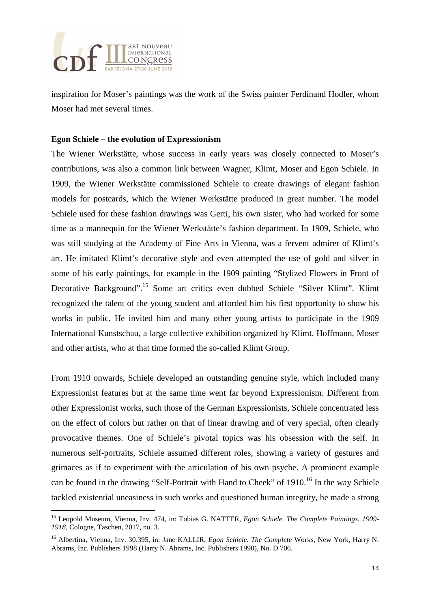

inspiration for Moser's paintings was the work of the Swiss painter Ferdinand Hodler, whom Moser had met several times.

## **Egon Schiele – the evolution of Expressionism**

The Wiener Werkstätte, whose success in early years was closely connected to Moser's contributions, was also a common link between Wagner, Klimt, Moser and Egon Schiele. In 1909, the Wiener Werkstätte commissioned Schiele to create drawings of elegant fashion models for postcards, which the Wiener Werkstätte produced in great number. The model Schiele used for these fashion drawings was Gerti, his own sister, who had worked for some time as a mannequin for the Wiener Werkstätte's fashion department. In 1909, Schiele, who was still studying at the Academy of Fine Arts in Vienna, was a fervent admirer of Klimt's art. He imitated Klimt's decorative style and even attempted the use of gold and silver in some of his early paintings, for example in the 1909 painting "Stylized Flowers in Front of Decorative Background".<sup>15</sup> Some art critics even dubbed Schiele "Silver Klimt". Klimt recognized the talent of the young student and afforded him his first opportunity to show his works in public. He invited him and many other young artists to participate in the 1909 International Kunstschau, a large collective exhibition organized by Klimt, Hoffmann, Moser and other artists, who at that time formed the so-called Klimt Group.

From 1910 onwards, Schiele developed an outstanding genuine style, which included many Expressionist features but at the same time went far beyond Expressionism. Different from other Expressionist works, such those of the German Expressionists, Schiele concentrated less on the effect of colors but rather on that of linear drawing and of very special, often clearly provocative themes. One of Schiele's pivotal topics was his obsession with the self. In numerous self-portraits, Schiele assumed different roles, showing a variety of gestures and grimaces as if to experiment with the articulation of his own psyche. A prominent example can be found in the drawing "Self-Portrait with Hand to Cheek" of  $1910$ .<sup>16</sup> In the way Schiele tackled existential uneasiness in such works and questioned human integrity, he made a strong

 $\overline{a}$ <sup>15</sup> Leopold Museum, Vienna, Inv. 474, in: Tobias G. NATTER, *Egon Schiele. The Complete Paintings. 1909- 1918,* Cologne, Taschen, 2017, no. 3.

<sup>16</sup> Albertina, Vienna, Inv. 30.395, in: Jane KALLIR, *Egon Schiele. The Complete* Works, New York, Harry N. Abrams, Inc. Publishers 1998 (Harry N. Abrams, Inc. Publishers 1990), No. D 706.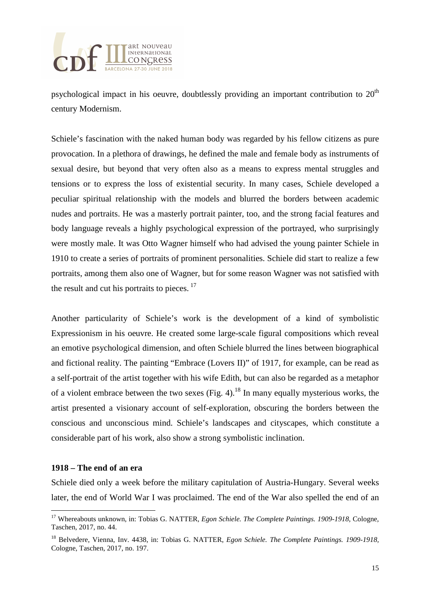

psychological impact in his oeuvre, doubtlessly providing an important contribution to  $20<sup>th</sup>$ century Modernism.

Schiele's fascination with the naked human body was regarded by his fellow citizens as pure provocation. In a plethora of drawings, he defined the male and female body as instruments of sexual desire, but beyond that very often also as a means to express mental struggles and tensions or to express the loss of existential security. In many cases, Schiele developed a peculiar spiritual relationship with the models and blurred the borders between academic nudes and portraits. He was a masterly portrait painter, too, and the strong facial features and body language reveals a highly psychological expression of the portrayed, who surprisingly were mostly male. It was Otto Wagner himself who had advised the young painter Schiele in 1910 to create a series of portraits of prominent personalities. Schiele did start to realize a few portraits, among them also one of Wagner, but for some reason Wagner was not satisfied with the result and cut his portraits to pieces. $17$ 

Another particularity of Schiele's work is the development of a kind of symbolistic Expressionism in his oeuvre. He created some large-scale figural compositions which reveal an emotive psychological dimension, and often Schiele blurred the lines between biographical and fictional reality. The painting "Embrace (Lovers II)" of 1917, for example, can be read as a self-portrait of the artist together with his wife Edith, but can also be regarded as a metaphor of a violent embrace between the two sexes (Fig. 4).<sup>18</sup> In many equally mysterious works, the artist presented a visionary account of self-exploration, obscuring the borders between the conscious and unconscious mind. Schiele's landscapes and cityscapes, which constitute a considerable part of his work, also show a strong symbolistic inclination.

#### **1918 – The end of an era**

Schiele died only a week before the military capitulation of Austria-Hungary. Several weeks later, the end of World War I was proclaimed. The end of the War also spelled the end of an

 $\overline{a}$ <sup>17</sup> Whereabouts unknown, in: Tobias G. NATTER, *Egon Schiele. The Complete Paintings. 1909-1918,* Cologne, Taschen, 2017, no. 44.

<sup>18</sup> Belvedere, Vienna, Inv. 4438, in: Tobias G. NATTER, *Egon Schiele. The Complete Paintings. 1909-1918,* Cologne, Taschen, 2017, no. 197.